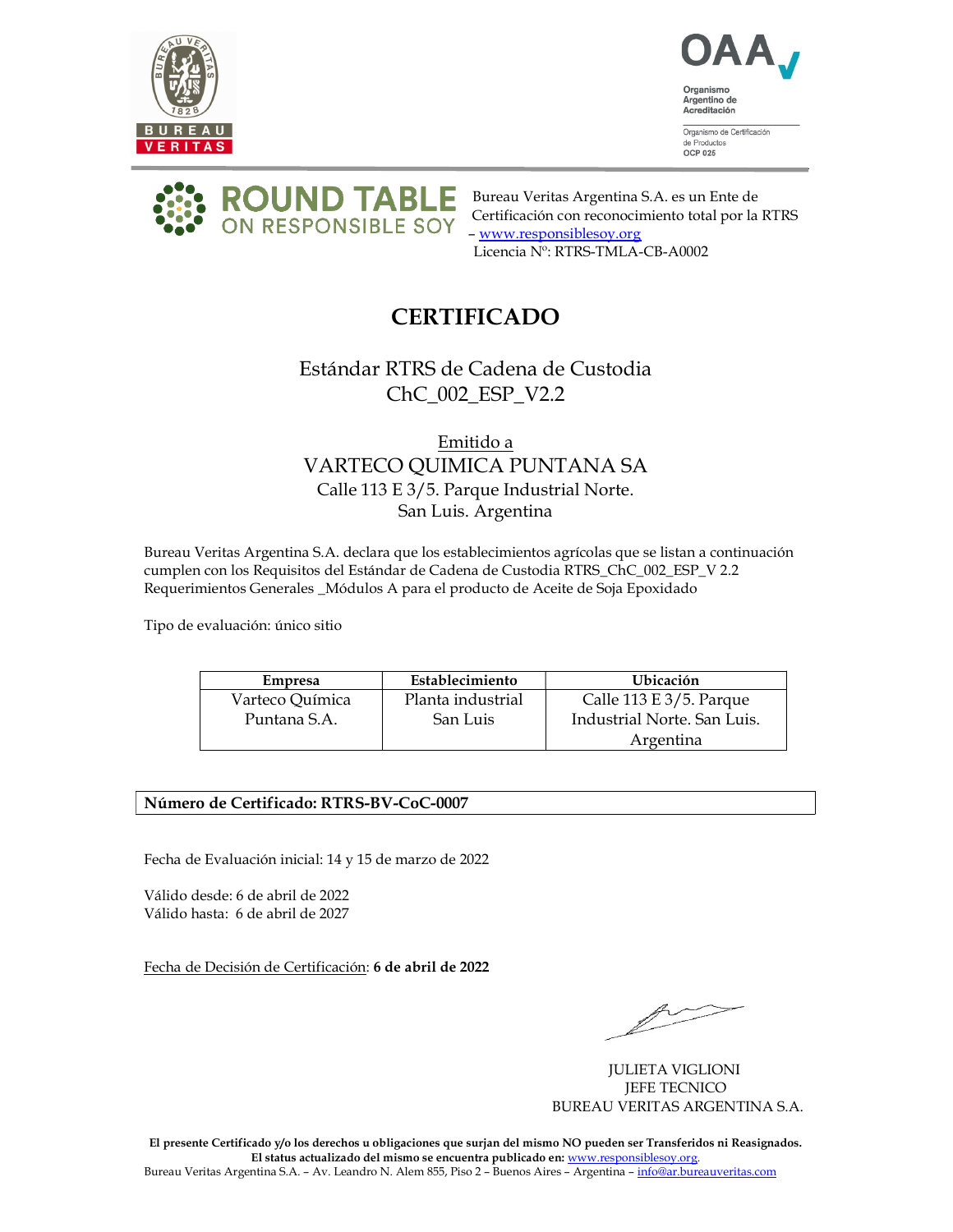



OCP 025



Bureau Veritas Argentina S.A. es un Ente de Certificación con reconocimiento total por la RTRS – www.responsiblesoy.org Licencia Nº: RTRS-TMLA-CB-A0002

# **CERTIFICADO**

## Estándar RTRS de Cadena de Custodia ChC\_002\_ESP\_V2.2

### Emitido a VARTECO QUIMICA PUNTANA SA Calle 113 E 3/5. Parque Industrial Norte. San Luis. Argentina

Bureau Veritas Argentina S.A. declara que los establecimientos agrícolas que se listan a continuación cumplen con los Requisitos del Estándar de Cadena de Custodia RTRS\_ChC\_002\_ESP\_V 2.2 Requerimientos Generales \_Módulos A para el producto de Aceite de Soja Epoxidado

Tipo de evaluación: único sitio

| Empresa         | Establecimiento   | <b>Ubicación</b>            |
|-----------------|-------------------|-----------------------------|
| Varteco Química | Planta industrial | Calle 113 E $3/5$ . Parque  |
| Puntana S.A.    | San Luis          | Industrial Norte. San Luis. |
|                 |                   | Argentina                   |

### Número de Certificado: RTRS-BV-CoC-0007

Fecha de Evaluación inicial: 14 y 15 de marzo de 2022

Válido desde: 6 de abril de 2022 Válido hasta: 6 de abril de 2027

Fecha de Decisión de Certificación: 6 de abril de 2022

 JULIETA VIGLIONI JEFE TECNICO BUREAU VERITAS ARGENTINA S.A.